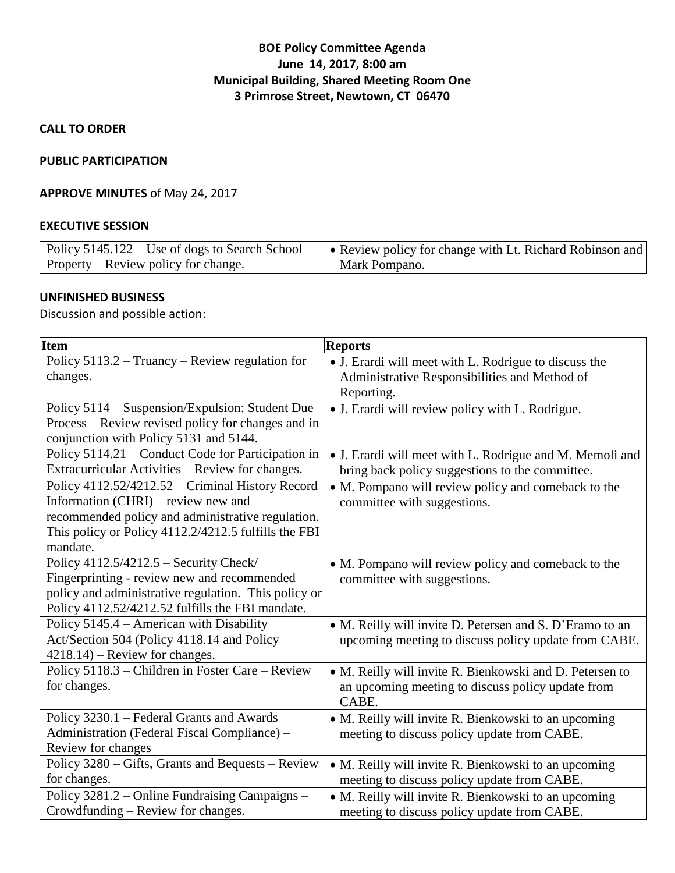# **BOE Policy Committee Agenda June 14, 2017, 8:00 am Municipal Building, Shared Meeting Room One 3 Primrose Street, Newtown, CT 06470**

**CALL TO ORDER**

#### **PUBLIC PARTICIPATION**

#### **APPROVE MINUTES** of May 24, 2017

#### **EXECUTIVE SESSION**

| Policy 5145.122 – Use of dogs to Search School | • Review policy for change with Lt. Richard Robinson and |
|------------------------------------------------|----------------------------------------------------------|
| Property – Review policy for change.           | Mark Pompano.                                            |

# **UNFINISHED BUSINESS**

Discussion and possible action:

| <b>Item</b>                                          | <b>Reports</b>                                           |
|------------------------------------------------------|----------------------------------------------------------|
| Policy 5113.2 - Truancy - Review regulation for      | • J. Erardi will meet with L. Rodrigue to discuss the    |
| changes.                                             | Administrative Responsibilities and Method of            |
|                                                      | Reporting.                                               |
| Policy 5114 – Suspension/Expulsion: Student Due      | • J. Erardi will review policy with L. Rodrigue.         |
| Process - Review revised policy for changes and in   |                                                          |
| conjunction with Policy 5131 and 5144.               |                                                          |
| Policy 5114.21 - Conduct Code for Participation in   | • J. Erardi will meet with L. Rodrigue and M. Memoli and |
| Extracurricular Activities - Review for changes.     | bring back policy suggestions to the committee.          |
| Policy 4112.52/4212.52 - Criminal History Record     | • M. Pompano will review policy and comeback to the      |
| Information (CHRI) – review new and                  | committee with suggestions.                              |
| recommended policy and administrative regulation.    |                                                          |
| This policy or Policy 4112.2/4212.5 fulfills the FBI |                                                          |
| mandate.                                             |                                                          |
| Policy 4112.5/4212.5 - Security Check/               | • M. Pompano will review policy and comeback to the      |
| Fingerprinting - review new and recommended          | committee with suggestions.                              |
| policy and administrative regulation. This policy or |                                                          |
| Policy 4112.52/4212.52 fulfills the FBI mandate.     |                                                          |
| Policy 5145.4 - American with Disability             | • M. Reilly will invite D. Petersen and S. D'Eramo to an |
| Act/Section 504 (Policy 4118.14 and Policy           | upcoming meeting to discuss policy update from CABE.     |
| $4218.14$ – Review for changes.                      |                                                          |
| Policy 5118.3 - Children in Foster Care - Review     | • M. Reilly will invite R. Bienkowski and D. Petersen to |
| for changes.                                         | an upcoming meeting to discuss policy update from        |
|                                                      | CABE.                                                    |
| Policy 3230.1 – Federal Grants and Awards            | • M. Reilly will invite R. Bienkowski to an upcoming     |
| Administration (Federal Fiscal Compliance) -         | meeting to discuss policy update from CABE.              |
| Review for changes                                   |                                                          |
| Policy 3280 – Gifts, Grants and Bequests – Review    | • M. Reilly will invite R. Bienkowski to an upcoming     |
| for changes.                                         | meeting to discuss policy update from CABE.              |
| Policy 3281.2 – Online Fundraising Campaigns –       | • M. Reilly will invite R. Bienkowski to an upcoming     |
| Crowdfunding - Review for changes.                   | meeting to discuss policy update from CABE.              |